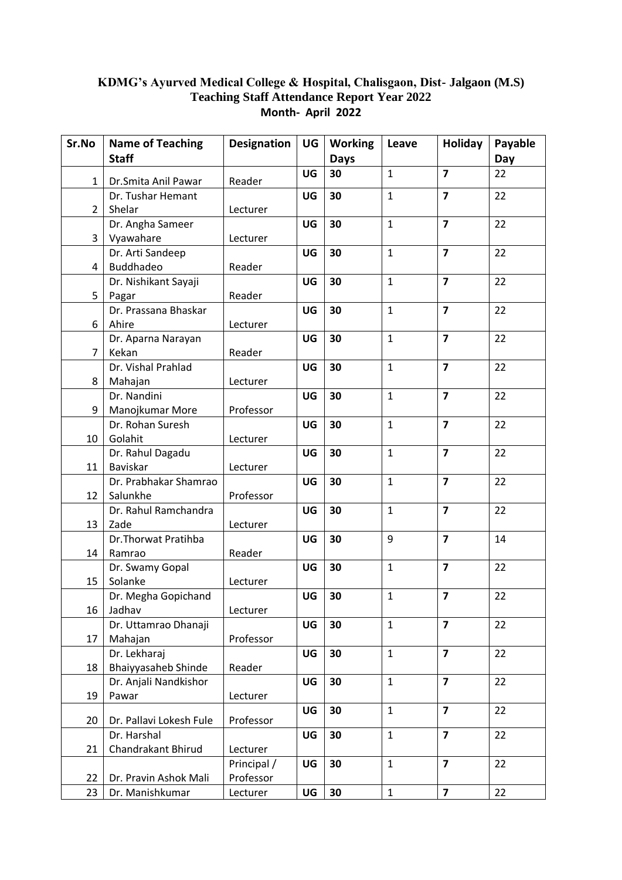## **KDMG's Ayurved Medical College & Hospital, Chalisgaon, Dist- Jalgaon (M.S) Teaching Staff Attendance Report Year 2022 Month- April 2022**

| Sr.No          | <b>Name of Teaching</b>           | <b>Designation</b>      | UG | <b>Working</b> | Leave        | Holiday                 | Payable |
|----------------|-----------------------------------|-------------------------|----|----------------|--------------|-------------------------|---------|
|                | <b>Staff</b>                      |                         |    | <b>Days</b>    |              |                         | Day     |
| $\mathbf{1}$   | Dr.Smita Anil Pawar               | Reader                  | UG | 30             | $\mathbf{1}$ | $\overline{\mathbf{z}}$ | 22      |
|                | Dr. Tushar Hemant                 |                         | UG | 30             | $\mathbf{1}$ | $\overline{7}$          | 22      |
| 2              | Shelar                            | Lecturer                |    |                |              |                         |         |
|                | Dr. Angha Sameer                  |                         | UG | 30             | $\mathbf{1}$ | $\overline{7}$          | 22      |
| 3              | Vyawahare                         | Lecturer                |    |                |              |                         |         |
|                | Dr. Arti Sandeep                  |                         | UG | 30             | $\mathbf{1}$ | $\overline{7}$          | 22      |
| 4              | <b>Buddhadeo</b>                  | Reader                  |    |                |              |                         |         |
|                | Dr. Nishikant Sayaji              |                         | UG | 30             | $\mathbf{1}$ | $\overline{7}$          | 22      |
| 5              | Pagar                             | Reader                  |    |                |              |                         |         |
|                | Dr. Prassana Bhaskar              |                         | UG | 30             | $\mathbf{1}$ | $\overline{\mathbf{z}}$ | 22      |
| 6              | Ahire                             | Lecturer                |    |                |              |                         |         |
|                | Dr. Aparna Narayan                |                         | UG | 30             | $\mathbf{1}$ | $\overline{7}$          | 22      |
| $\overline{7}$ | Kekan                             | Reader                  |    |                |              |                         |         |
|                | Dr. Vishal Prahlad                |                         | UG | 30             | $\mathbf{1}$ | $\overline{7}$          | 22      |
| 8              | Mahajan                           | Lecturer                |    |                |              |                         |         |
|                | Dr. Nandini                       |                         | UG | 30             | $\mathbf{1}$ | $\overline{7}$          | 22      |
| 9              | Manojkumar More                   | Professor               |    |                |              |                         |         |
|                | Dr. Rohan Suresh                  |                         | UG | 30             | $\mathbf{1}$ | $\overline{\mathbf{z}}$ | 22      |
| 10             | Golahit                           | Lecturer                |    |                |              |                         |         |
|                | Dr. Rahul Dagadu                  |                         | UG | 30             | $\mathbf{1}$ | $\overline{7}$          | 22      |
| 11             | Baviskar                          | Lecturer                |    |                |              | $\overline{7}$          |         |
| 12             | Dr. Prabhakar Shamrao<br>Salunkhe | Professor               | UG | 30             | $\mathbf{1}$ |                         | 22      |
|                | Dr. Rahul Ramchandra              |                         | UG | 30             | $\mathbf{1}$ | $\overline{\mathbf{z}}$ | 22      |
| 13             | Zade                              | Lecturer                |    |                |              |                         |         |
|                | Dr. Thorwat Pratihba              |                         | UG | 30             | 9            | $\overline{7}$          | 14      |
| 14             | Ramrao                            | Reader                  |    |                |              |                         |         |
|                | Dr. Swamy Gopal                   |                         | UG | 30             | $\mathbf{1}$ | $\overline{7}$          | 22      |
| 15             | Solanke                           | Lecturer                |    |                |              |                         |         |
|                | Dr. Megha Gopichand               |                         | UG | 30             | $\mathbf{1}$ | $\overline{7}$          | 22      |
| 16             | Jadhav                            | Lecturer                |    |                |              |                         |         |
|                | Dr. Uttamrao Dhanaji              |                         | UG | 30             | $\mathbf{1}$ | $\overline{\mathbf{z}}$ | 22      |
| 17             | Mahajan                           | Professor               |    |                |              |                         |         |
|                | Dr. Lekharaj                      |                         | UG | 30             | $\mathbf{1}$ | $\overline{7}$          | 22      |
| 18             | Bhaiyyasaheb Shinde               | Reader                  |    |                |              |                         |         |
|                | Dr. Anjali Nandkishor             |                         | UG | 30             | $\mathbf{1}$ | $\overline{7}$          | 22      |
| 19             | Pawar                             | Lecturer                |    |                |              |                         |         |
|                |                                   |                         | UG | 30             | $\mathbf{1}$ | $\overline{7}$          | 22      |
| 20             | Dr. Pallavi Lokesh Fule           | Professor               |    |                | $\mathbf{1}$ |                         |         |
|                | Dr. Harshal                       |                         | UG | 30             |              | $\overline{\mathbf{z}}$ | 22      |
| 21             | Chandrakant Bhirud                | Lecturer<br>Principal / | UG | 30             | $\mathbf{1}$ | $\overline{7}$          | 22      |
| 22             | Dr. Pravin Ashok Mali             | Professor               |    |                |              |                         |         |
| 23             | Dr. Manishkumar                   | Lecturer                | UG | 30             | $\mathbf 1$  | $\overline{\mathbf{z}}$ | 22      |
|                |                                   |                         |    |                |              |                         |         |